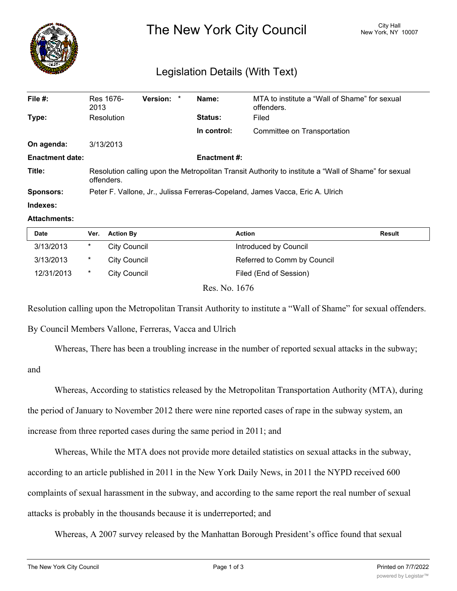

## Legislation Details (With Text)

| File #:                | Res 1676-<br>2013                                                                                                  | <b>Version:</b> |  | Name:       | MTA to institute a "Wall of Shame" for sexual<br>offenders. |  |  |
|------------------------|--------------------------------------------------------------------------------------------------------------------|-----------------|--|-------------|-------------------------------------------------------------|--|--|
| Type:                  | Resolution                                                                                                         |                 |  | Status:     | Filed                                                       |  |  |
|                        |                                                                                                                    |                 |  | In control: | Committee on Transportation                                 |  |  |
| On agenda:             | 3/13/2013                                                                                                          |                 |  |             |                                                             |  |  |
| <b>Enactment date:</b> | <b>Enactment #:</b>                                                                                                |                 |  |             |                                                             |  |  |
| Title:                 | Resolution calling upon the Metropolitan Transit Authority to institute a "Wall of Shame" for sexual<br>offenders. |                 |  |             |                                                             |  |  |
| <b>Sponsors:</b>       | Peter F. Vallone, Jr., Julissa Ferreras-Copeland, James Vacca, Eric A. Ulrich                                      |                 |  |             |                                                             |  |  |
| Indexes:               |                                                                                                                    |                 |  |             |                                                             |  |  |

## **Attachments:**

| <b>Date</b> | Ver.   | <b>Action By</b>                       | <b>Action</b>               | Result |
|-------------|--------|----------------------------------------|-----------------------------|--------|
| 3/13/2013   | $\ast$ | <b>City Council</b>                    | Introduced by Council       |        |
| 3/13/2013   | $\ast$ | <b>City Council</b>                    | Referred to Comm by Council |        |
| 12/31/2013  | $\ast$ | City Council                           | Filed (End of Session)      |        |
|             |        | $D_{\alpha\alpha}$ N <sub>o</sub> 1676 |                             |        |

Res. No. 1676

Resolution calling upon the Metropolitan Transit Authority to institute a "Wall of Shame" for sexual offenders.

By Council Members Vallone, Ferreras, Vacca and Ulrich

Whereas, There has been a troubling increase in the number of reported sexual attacks in the subway;

and

Whereas, According to statistics released by the Metropolitan Transportation Authority (MTA), during the period of January to November 2012 there were nine reported cases of rape in the subway system, an increase from three reported cases during the same period in 2011; and

Whereas, While the MTA does not provide more detailed statistics on sexual attacks in the subway, according to an article published in 2011 in the New York Daily News, in 2011 the NYPD received 600 complaints of sexual harassment in the subway, and according to the same report the real number of sexual attacks is probably in the thousands because it is underreported; and

Whereas, A 2007 survey released by the Manhattan Borough President's office found that sexual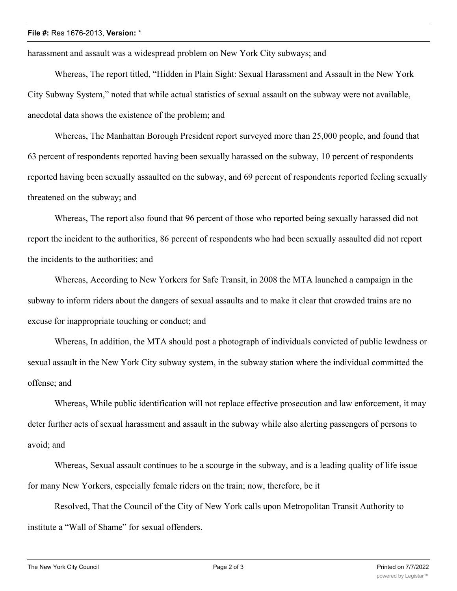## **File #:** Res 1676-2013, **Version:** \*

harassment and assault was a widespread problem on New York City subways; and

Whereas, The report titled, "Hidden in Plain Sight: Sexual Harassment and Assault in the New York City Subway System," noted that while actual statistics of sexual assault on the subway were not available, anecdotal data shows the existence of the problem; and

Whereas, The Manhattan Borough President report surveyed more than 25,000 people, and found that 63 percent of respondents reported having been sexually harassed on the subway, 10 percent of respondents reported having been sexually assaulted on the subway, and 69 percent of respondents reported feeling sexually threatened on the subway; and

Whereas, The report also found that 96 percent of those who reported being sexually harassed did not report the incident to the authorities, 86 percent of respondents who had been sexually assaulted did not report the incidents to the authorities; and

Whereas, According to New Yorkers for Safe Transit, in 2008 the MTA launched a campaign in the subway to inform riders about the dangers of sexual assaults and to make it clear that crowded trains are no excuse for inappropriate touching or conduct; and

Whereas, In addition, the MTA should post a photograph of individuals convicted of public lewdness or sexual assault in the New York City subway system, in the subway station where the individual committed the offense; and

Whereas, While public identification will not replace effective prosecution and law enforcement, it may deter further acts of sexual harassment and assault in the subway while also alerting passengers of persons to avoid; and

Whereas, Sexual assault continues to be a scourge in the subway, and is a leading quality of life issue for many New Yorkers, especially female riders on the train; now, therefore, be it

Resolved, That the Council of the City of New York calls upon Metropolitan Transit Authority to institute a "Wall of Shame" for sexual offenders.